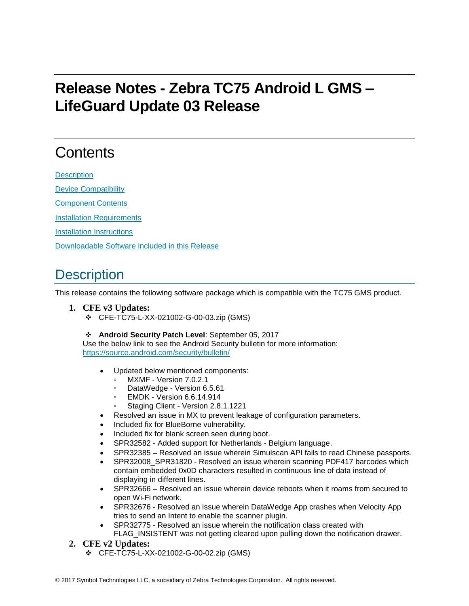# **Release Notes - Zebra TC75 Android L GMS – LifeGuard Update 03 Release**

## **Contents**

**[Description](#page-0-0)** 

[Device Compatibility](#page-1-0)

[Component Contents](#page-1-1)

[Installation Requirements](#page-1-2)

[Installation Instructions](#page-2-0)

[Downloadable Software included in this Release](#page-3-0)

## <span id="page-0-0"></span>**Description**

This release contains the following software package which is compatible with the TC75 GMS product.

- **1. CFE v3 Updates:**
	- ❖ CFE-TC75-L-XX-021002-G-00-03.zip (GMS)

❖ **Android Security Patch Level**: September 05, 2017

Use the below link to see the Android Security bulletin for more information: <https://source.android.com/security/bulletin/>

- Updated below mentioned components:
	- MXMF Version 7.0.2.1
	- DataWedge Version 6.5.61
	- **EMDK Version 6.6.14.914**
	- Staging Client Version 2.8.1.1221
- Resolved an issue in MX to prevent leakage of configuration parameters.
- Included fix for BlueBorne vulnerability.
- Included fix for blank screen seen during boot.
- SPR32582 Added support for Netherlands Belgium language.
- SPR32385 Resolved an issue wherein Simulscan API fails to read Chinese passports.
- SPR32008\_SPR31820 Resolved an issue wherein scanning PDF417 barcodes which contain embedded 0x0D characters resulted in continuous line of data instead of displaying in different lines.
- SPR32666 Resolved an issue wherein device reboots when it roams from secured to open Wi-Fi network.
- SPR32676 Resolved an issue wherein DataWedge App crashes when Velocity App tries to send an Intent to enable the scanner plugin.
- SPR32775 Resolved an issue wherein the notification class created with FLAG\_INSISTENT was not getting cleared upon pulling down the notification drawer.
- **2. CFE v2 Updates:**
	- ❖ CFE-TC75-L-XX-021002-G-00-02.zip (GMS)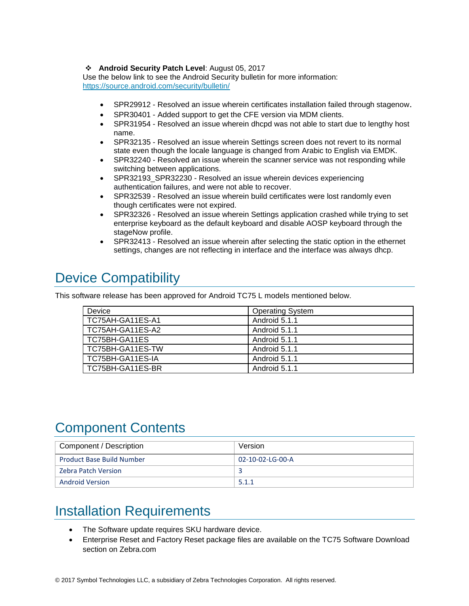#### ❖ **Android Security Patch Level**: August 05, 2017

Use the below link to see the Android Security bulletin for more information: <https://source.android.com/security/bulletin/>

- SPR29912 Resolved an issue wherein certificates installation failed through stagenow.
- SPR30401 Added support to get the CFE version via MDM clients.
- SPR31954 Resolved an issue wherein dhcpd was not able to start due to lengthy host name.
- SPR32135 Resolved an issue wherein Settings screen does not revert to its normal state even though the locale language is changed from Arabic to English via EMDK.
- SPR32240 Resolved an issue wherein the scanner service was not responding while switching between applications.
- SPR32193 SPR32230 Resolved an issue wherein devices experiencing authentication failures, and were not able to recover.
- SPR32539 Resolved an issue wherein build certificates were lost randomly even though certificates were not expired.
- SPR32326 Resolved an issue wherein Settings application crashed while trying to set enterprise keyboard as the default keyboard and disable AOSP keyboard through the stageNow profile.
- SPR32413 Resolved an issue wherein after selecting the static option in the ethernet settings, changes are not reflecting in interface and the interface was always dhcp.

## <span id="page-1-0"></span>Device Compatibility

This software release has been approved for Android TC75 L models mentioned below.

| <b>Device</b>    | <b>Operating System</b> |
|------------------|-------------------------|
| TC75AH-GA11ES-A1 | Android 5.1.1           |
| TC75AH-GA11ES-A2 | Android 5.1.1           |
| TC75BH-GA11ES    | Android 5.1.1           |
| TC75BH-GA11ES-TW | Android 5.1.1           |
| TC75BH-GA11ES-IA | Android 5.1.1           |
| TC75BH-GA11ES-BR | Android 5.1.1           |

### <span id="page-1-1"></span>Component Contents

| Component / Description          | Version          |
|----------------------------------|------------------|
| <b>Product Base Build Number</b> | 02-10-02-LG-00-A |
| Zebra Patch Version              |                  |
| Android Version                  | 5.1.1            |

## <span id="page-1-2"></span>Installation Requirements

- The Software update requires SKU hardware device.
- Enterprise Reset and Factory Reset package files are available on the TC75 Software Download section on Zebra.com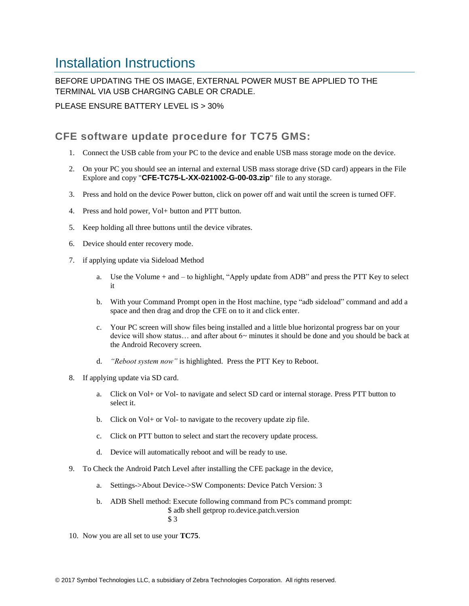### <span id="page-2-0"></span>Installation Instructions

BEFORE UPDATING THE OS IMAGE, EXTERNAL POWER MUST BE APPLIED TO THE TERMINAL VIA USB CHARGING CABLE OR CRADLE.

PLEASE ENSURE BATTERY LEVEL IS > 30%

#### CFE software update procedure for TC75 GMS:

- 1. Connect the USB cable from your PC to the device and enable USB mass storage mode on the device.
- 2. On your PC you should see an internal and external USB mass storage drive (SD card) appears in the File Explore and copy "**CFE-TC75-L-XX-021002-G-00-03.zip**" file to any storage.
- 3. Press and hold on the device Power button, click on power off and wait until the screen is turned OFF.
- 4. Press and hold power, Vol+ button and PTT button.
- 5. Keep holding all three buttons until the device vibrates.
- 6. Device should enter recovery mode.
- 7. if applying update via Sideload Method
	- a. Use the Volume + and to highlight, "Apply update from ADB" and press the PTT Key to select it
	- b. With your Command Prompt open in the Host machine, type "adb sideload" command and add a space and then drag and drop the CFE on to it and click enter.
	- c. Your PC screen will show files being installed and a little blue horizontal progress bar on your device will show status… and after about 6~ minutes it should be done and you should be back at the Android Recovery screen.
	- d. *"Reboot system now"* is highlighted. Press the PTT Key to Reboot.
- 8. If applying update via SD card.
	- a. Click on Vol+ or Vol- to navigate and select SD card or internal storage. Press PTT button to select it.
	- b. Click on Vol+ or Vol- to navigate to the recovery update zip file.
	- c. Click on PTT button to select and start the recovery update process.
	- d. Device will automatically reboot and will be ready to use.
- 9. To Check the Android Patch Level after installing the CFE package in the device,
	- a. Settings->About Device->SW Components: Device Patch Version: 3
	- b. ADB Shell method: Execute following command from PC's command prompt: \$ adb shell getprop ro.device.patch.version \$ 3
- 10. Now you are all set to use your **TC75**.